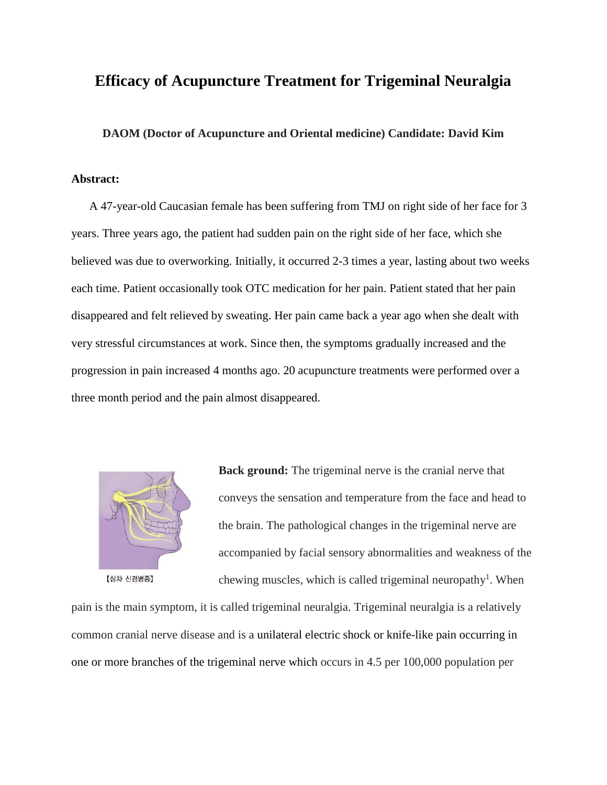# **Efficacy of Acupuncture Treatment for Trigeminal Neuralgia**

**DAOM (Doctor of Acupuncture and Oriental medicine) Candidate: David Kim**

### **Abstract:**

 A 47-year-old Caucasian female has been suffering from TMJ on right side of her face for 3 years. Three years ago, the patient had sudden pain on the right side of her face, which she believed was due to overworking. Initially, it occurred 2-3 times a year, lasting about two weeks each time. Patient occasionally took OTC medication for her pain. Patient stated that her pain disappeared and felt relieved by sweating. Her pain came back a year ago when she dealt with very stressful circumstances at work. Since then, the symptoms gradually increased and the progression in pain increased 4 months ago. 20 acupuncture treatments were performed over a three month period and the pain almost disappeared.



**Back ground:** The trigeminal nerve is the cranial nerve that conveys the sensation and temperature from the face and head to the brain. The pathological changes in the trigeminal nerve are accompanied by facial sensory abnormalities and weakness of the chewing muscles, which is called trigeminal neuropathy<sup>1</sup>. When

pain is the main symptom, it is called trigeminal neuralgia. Trigeminal neuralgia is a relatively common cranial nerve disease and is a unilateral electric shock or knife-like pain occurring in one or more branches of the trigeminal nerve which occurs in 4.5 per 100,000 population per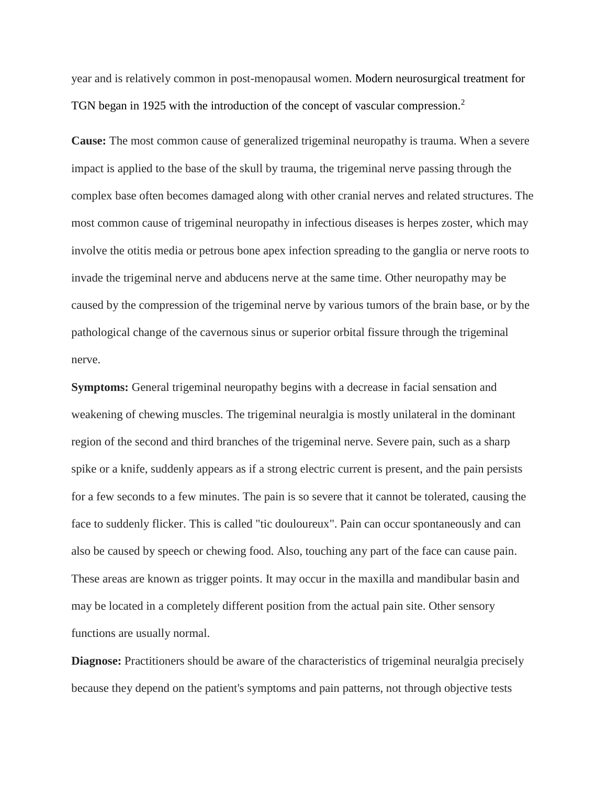year and is relatively common in post-menopausal women. Modern neurosurgical treatment for TGN began in 1925 with the introduction of the concept of vascular compression.<sup>2</sup>

**Cause:** The most common cause of generalized trigeminal neuropathy is trauma. When a severe impact is applied to the base of the skull by trauma, the trigeminal nerve passing through the complex base often becomes damaged along with other cranial nerves and related structures. The most common cause of trigeminal neuropathy in infectious diseases is herpes zoster, which may involve the otitis media or petrous bone apex infection spreading to the ganglia or nerve roots to invade the trigeminal nerve and abducens nerve at the same time. Other neuropathy may be caused by the compression of the trigeminal nerve by various tumors of the brain base, or by the pathological change of the cavernous sinus or superior orbital fissure through the trigeminal nerve.

**Symptoms:** General trigeminal neuropathy begins with a decrease in facial sensation and weakening of chewing muscles. The trigeminal neuralgia is mostly unilateral in the dominant region of the second and third branches of the trigeminal nerve. Severe pain, such as a sharp spike or a knife, suddenly appears as if a strong electric current is present, and the pain persists for a few seconds to a few minutes. The pain is so severe that it cannot be tolerated, causing the face to suddenly flicker. This is called "tic douloureux". Pain can occur spontaneously and can also be caused by speech or chewing food. Also, touching any part of the face can cause pain. These areas are known as trigger points. It may occur in the maxilla and mandibular basin and may be located in a completely different position from the actual pain site. Other sensory functions are usually normal.

**Diagnose:** Practitioners should be aware of the characteristics of trigeminal neuralgia precisely because they depend on the patient's symptoms and pain patterns, not through objective tests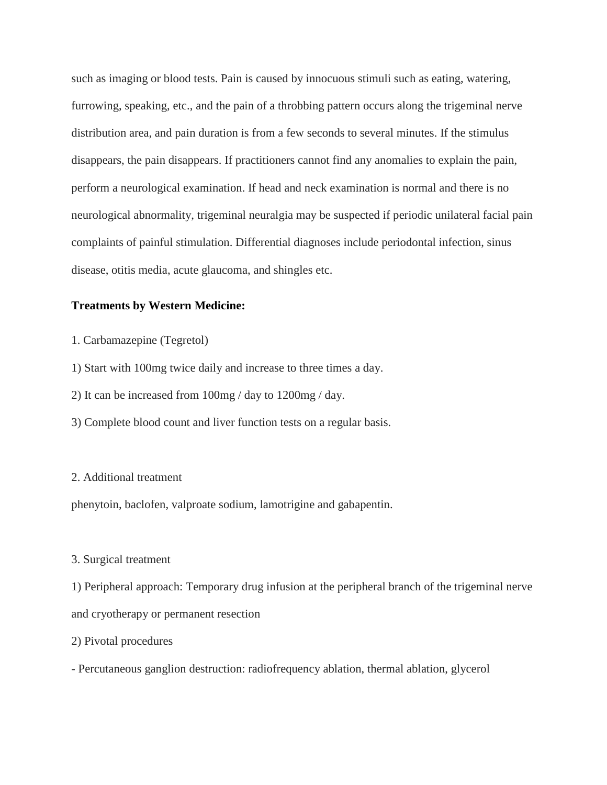such as imaging or blood tests. Pain is caused by innocuous stimuli such as eating, watering, furrowing, speaking, etc., and the pain of a throbbing pattern occurs along the trigeminal nerve distribution area, and pain duration is from a few seconds to several minutes. If the stimulus disappears, the pain disappears. If practitioners cannot find any anomalies to explain the pain, perform a neurological examination. If head and neck examination is normal and there is no neurological abnormality, trigeminal neuralgia may be suspected if periodic unilateral facial pain complaints of painful stimulation. Differential diagnoses include periodontal infection, sinus disease, otitis media, acute glaucoma, and shingles etc.

## **Treatments by Western Medicine:**

1. Carbamazepine (Tegretol)

1) Start with 100mg twice daily and increase to three times a day.

2) It can be increased from 100mg / day to 1200mg / day.

3) Complete blood count and liver function tests on a regular basis.

### 2. Additional treatment

phenytoin, baclofen, valproate sodium, lamotrigine and gabapentin.

### 3. Surgical treatment

1) Peripheral approach: Temporary drug infusion at the peripheral branch of the trigeminal nerve and cryotherapy or permanent resection

### 2) Pivotal procedures

- Percutaneous ganglion destruction: radiofrequency ablation, thermal ablation, glycerol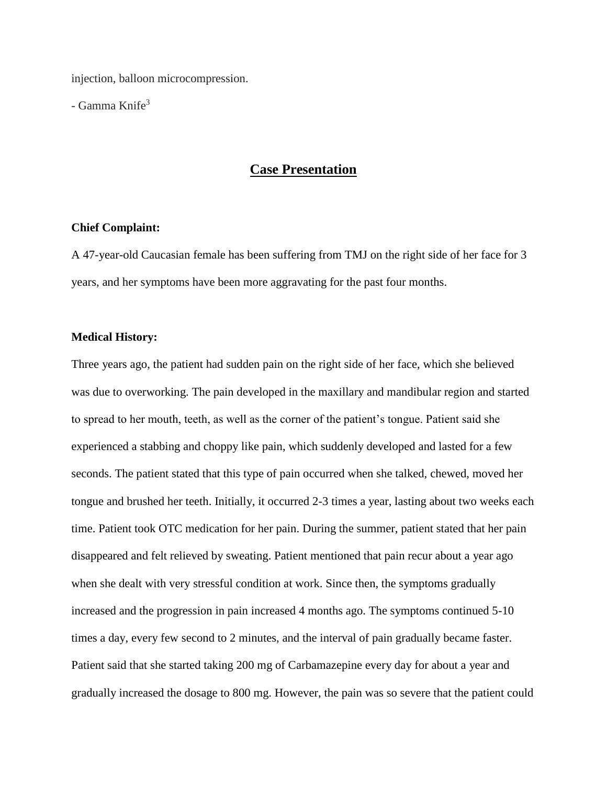injection, balloon microcompression.

 $-$  Gamma Knife<sup>3</sup>

# **Case Presentation**

### **Chief Complaint:**

A 47-year-old Caucasian female has been suffering from TMJ on the right side of her face for 3 years, and her symptoms have been more aggravating for the past four months.

### **Medical History:**

Three years ago, the patient had sudden pain on the right side of her face, which she believed was due to overworking. The pain developed in the maxillary and mandibular region and started to spread to her mouth, teeth, as well as the corner of the patient's tongue. Patient said she experienced a stabbing and choppy like pain, which suddenly developed and lasted for a few seconds. The patient stated that this type of pain occurred when she talked, chewed, moved her tongue and brushed her teeth. Initially, it occurred 2-3 times a year, lasting about two weeks each time. Patient took OTC medication for her pain. During the summer, patient stated that her pain disappeared and felt relieved by sweating. Patient mentioned that pain recur about a year ago when she dealt with very stressful condition at work. Since then, the symptoms gradually increased and the progression in pain increased 4 months ago. The symptoms continued 5-10 times a day, every few second to 2 minutes, and the interval of pain gradually became faster. Patient said that she started taking 200 mg of Carbamazepine every day for about a year and gradually increased the dosage to 800 mg. However, the pain was so severe that the patient could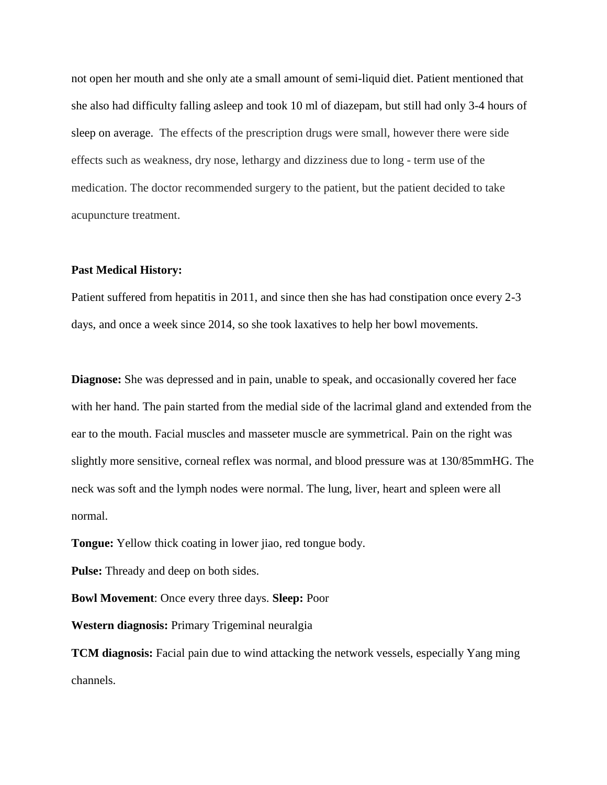not open her mouth and she only ate a small amount of semi-liquid diet. Patient mentioned that she also had difficulty falling asleep and took 10 ml of diazepam, but still had only 3-4 hours of sleep on average. The effects of the prescription drugs were small, however there were side effects such as weakness, dry nose, lethargy and dizziness due to long - term use of the medication. The doctor recommended surgery to the patient, but the patient decided to take acupuncture treatment.

### **Past Medical History:**

Patient suffered from hepatitis in 2011, and since then she has had constipation once every 2-3 days, and once a week since 2014, so she took laxatives to help her bowl movements.

**Diagnose:** She was depressed and in pain, unable to speak, and occasionally covered her face with her hand. The pain started from the medial side of the lacrimal gland and extended from the ear to the mouth. Facial muscles and masseter muscle are symmetrical. Pain on the right was slightly more sensitive, corneal reflex was normal, and blood pressure was at 130/85mmHG. The neck was soft and the lymph nodes were normal. The lung, liver, heart and spleen were all normal.

**Tongue:** Yellow thick coating in lower jiao, red tongue body.

**Pulse:** Thready and deep on both sides.

**Bowl Movement**: Once every three days. **Sleep:** Poor

**Western diagnosis:** Primary Trigeminal neuralgia

**TCM diagnosis:** Facial pain due to wind attacking the network vessels, especially Yang ming channels.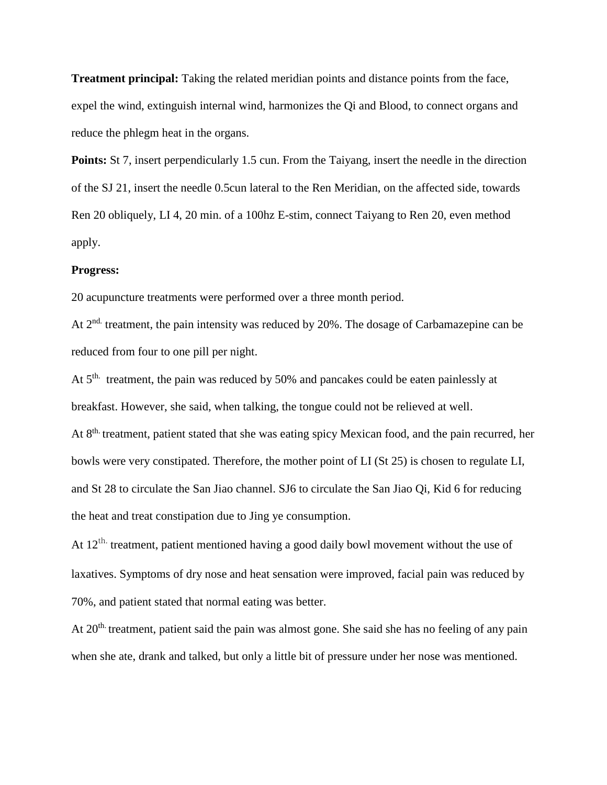**Treatment principal:** Taking the related meridian points and distance points from the face, expel the wind, extinguish internal wind, harmonizes the Qi and Blood, to connect organs and reduce the phlegm heat in the organs.

**Points:** St 7, insert perpendicularly 1.5 cun. From the Taiyang, insert the needle in the direction of the SJ 21, insert the needle 0.5cun lateral to the Ren Meridian, on the affected side, towards Ren 20 obliquely, LI 4, 20 min. of a 100hz E-stim, connect Taiyang to Ren 20, even method apply.

#### **Progress:**

20 acupuncture treatments were performed over a three month period.

At  $2<sup>nd</sup>$  treatment, the pain intensity was reduced by 20%. The dosage of Carbamazepine can be reduced from four to one pill per night.

At 5<sup>th.</sup> treatment, the pain was reduced by 50% and pancakes could be eaten painlessly at breakfast. However, she said, when talking, the tongue could not be relieved at well. At 8<sup>th.</sup> treatment, patient stated that she was eating spicy Mexican food, and the pain recurred, her bowls were very constipated. Therefore, the mother point of LI (St 25) is chosen to regulate LI, and St 28 to circulate the San Jiao channel. SJ6 to circulate the San Jiao Qi, Kid 6 for reducing the heat and treat constipation due to Jing ye consumption.

At  $12<sup>th</sup>$  treatment, patient mentioned having a good daily bowl movement without the use of laxatives. Symptoms of dry nose and heat sensation were improved, facial pain was reduced by 70%, and patient stated that normal eating was better.

At 20<sup>th</sup> treatment, patient said the pain was almost gone. She said she has no feeling of any pain when she ate, drank and talked, but only a little bit of pressure under her nose was mentioned.